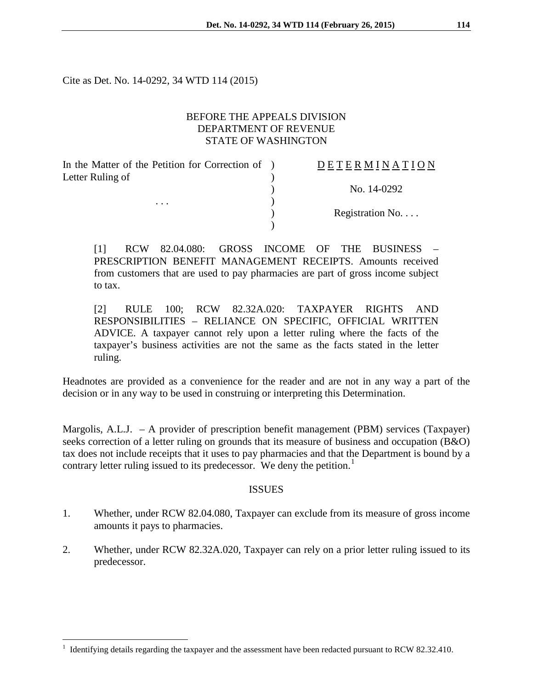Cite as Det. No. 14-0292, 34 WTD 114 (2015)

## BEFORE THE APPEALS DIVISION DEPARTMENT OF REVENUE STATE OF WASHINGTON

)

)

In the Matter of the Petition for Correction of ) Letter Ruling of

. . .  $\qquad \qquad$  )

# D E T E R M I N A T I O N

) No. 14-0292

) Registration No. . . .

[1] RCW 82.04.080: GROSS INCOME OF THE BUSINESS – PRESCRIPTION BENEFIT MANAGEMENT RECEIPTS. Amounts received from customers that are used to pay pharmacies are part of gross income subject to tax.

[2] RULE 100; RCW 82.32A.020: TAXPAYER RIGHTS AND RESPONSIBILITIES – RELIANCE ON SPECIFIC, OFFICIAL WRITTEN ADVICE. A taxpayer cannot rely upon a letter ruling where the facts of the taxpayer's business activities are not the same as the facts stated in the letter ruling.

Headnotes are provided as a convenience for the reader and are not in any way a part of the decision or in any way to be used in construing or interpreting this Determination.

Margolis, A.L.J. – A provider of prescription benefit management (PBM) services (Taxpayer) seeks correction of a letter ruling on grounds that its measure of business and occupation (B&O) tax does not include receipts that it uses to pay pharmacies and that the Department is bound by a contrary letter ruling issued to its predecessor. We deny the petition.<sup>[1](#page-0-0)</sup>

#### **ISSUES**

- 1. Whether, under RCW 82.04.080, Taxpayer can exclude from its measure of gross income amounts it pays to pharmacies.
- 2. Whether, under RCW 82.32A.020, Taxpayer can rely on a prior letter ruling issued to its predecessor.

<span id="page-0-0"></span><sup>1</sup> Identifying details regarding the taxpayer and the assessment have been redacted pursuant to RCW 82.32.410.  $\,1$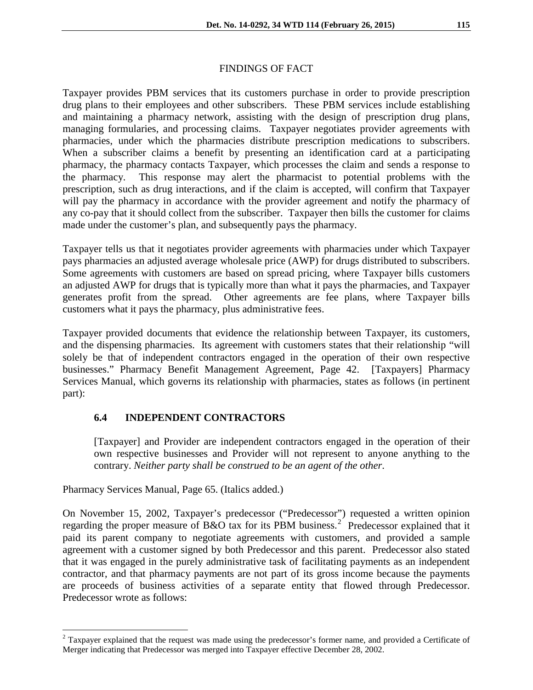### FINDINGS OF FACT

Taxpayer provides PBM services that its customers purchase in order to provide prescription drug plans to their employees and other subscribers. These PBM services include establishing and maintaining a pharmacy network, assisting with the design of prescription drug plans, managing formularies, and processing claims. Taxpayer negotiates provider agreements with pharmacies, under which the pharmacies distribute prescription medications to subscribers. When a subscriber claims a benefit by presenting an identification card at a participating pharmacy, the pharmacy contacts Taxpayer, which processes the claim and sends a response to the pharmacy. This response may alert the pharmacist to potential problems with the prescription, such as drug interactions, and if the claim is accepted, will confirm that Taxpayer will pay the pharmacy in accordance with the provider agreement and notify the pharmacy of any co-pay that it should collect from the subscriber. Taxpayer then bills the customer for claims made under the customer's plan, and subsequently pays the pharmacy.

Taxpayer tells us that it negotiates provider agreements with pharmacies under which Taxpayer pays pharmacies an adjusted average wholesale price (AWP) for drugs distributed to subscribers. Some agreements with customers are based on spread pricing, where Taxpayer bills customers an adjusted AWP for drugs that is typically more than what it pays the pharmacies, and Taxpayer generates profit from the spread. Other agreements are fee plans, where Taxpayer bills customers what it pays the pharmacy, plus administrative fees.

Taxpayer provided documents that evidence the relationship between Taxpayer, its customers, and the dispensing pharmacies. Its agreement with customers states that their relationship "will solely be that of independent contractors engaged in the operation of their own respective businesses." Pharmacy Benefit Management Agreement, Page 42. [Taxpayers] Pharmacy Services Manual, which governs its relationship with pharmacies, states as follows (in pertinent part):

## **6.4 INDEPENDENT CONTRACTORS**

[Taxpayer] and Provider are independent contractors engaged in the operation of their own respective businesses and Provider will not represent to anyone anything to the contrary. *Neither party shall be construed to be an agent of the other*.

Pharmacy Services Manual, Page 65. (Italics added.)

 $\overline{a}$ 

On November 15, 2002, Taxpayer's predecessor ("Predecessor") requested a written opinion regarding the proper measure of B&O tax for its PBM business.<sup>[2](#page-1-0)</sup> Predecessor explained that it paid its parent company to negotiate agreements with customers, and provided a sample agreement with a customer signed by both Predecessor and this parent. Predecessor also stated that it was engaged in the purely administrative task of facilitating payments as an independent contractor, and that pharmacy payments are not part of its gross income because the payments are proceeds of business activities of a separate entity that flowed through Predecessor. Predecessor wrote as follows:

<span id="page-1-0"></span><sup>&</sup>lt;sup>2</sup> Taxpayer explained that the request was made using the predecessor's former name, and provided a Certificate of Merger indicating that Predecessor was merged into Taxpayer effective December 28, 2002.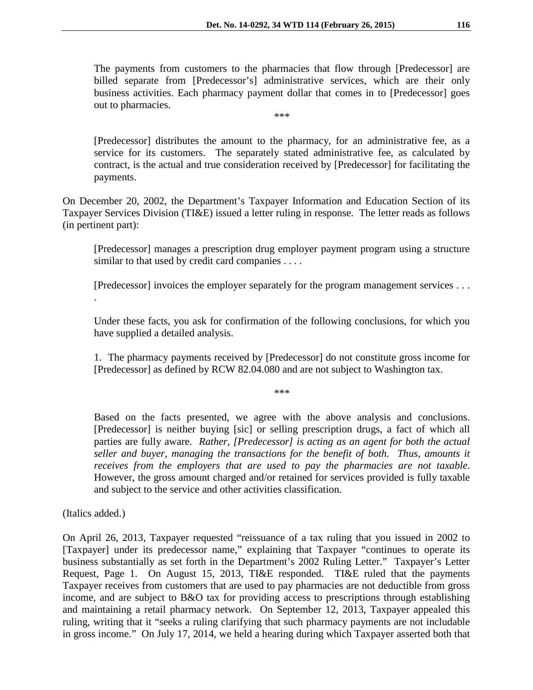The payments from customers to the pharmacies that flow through [Predecessor] are billed separate from [Predecessor's] administrative services, which are their only business activities. Each pharmacy payment dollar that comes in to [Predecessor] goes out to pharmacies. \*\*\*

[Predecessor] distributes the amount to the pharmacy, for an administrative fee, as a service for its customers. The separately stated administrative fee, as calculated by contract, is the actual and true consideration received by [Predecessor] for facilitating the payments.

On December 20, 2002, the Department's Taxpayer Information and Education Section of its Taxpayer Services Division (TI&E) issued a letter ruling in response. The letter reads as follows (in pertinent part):

[Predecessor] manages a prescription drug employer payment program using a structure similar to that used by credit card companies . . . .

[Predecessor] invoices the employer separately for the program management services . . .

Under these facts, you ask for confirmation of the following conclusions, for which you have supplied a detailed analysis.

1. The pharmacy payments received by [Predecessor] do not constitute gross income for [Predecessor] as defined by RCW 82.04.080 and are not subject to Washington tax.

\*\*\*

Based on the facts presented, we agree with the above analysis and conclusions. [Predecessor] is neither buying [sic] or selling prescription drugs, a fact of which all parties are fully aware. *Rather, [Predecessor] is acting as an agent for both the actual seller and buyer, managing the transactions for the benefit of both. Thus, amounts it receives from the employers that are used to pay the pharmacies are not taxable*. However, the gross amount charged and/or retained for services provided is fully taxable and subject to the service and other activities classification.

(Italics added.)

.

On April 26, 2013, Taxpayer requested "reissuance of a tax ruling that you issued in 2002 to [Taxpayer] under its predecessor name," explaining that Taxpayer "continues to operate its business substantially as set forth in the Department's 2002 Ruling Letter." Taxpayer's Letter Request, Page 1. On August 15, 2013, TI&E responded. TI&E ruled that the payments Taxpayer receives from customers that are used to pay pharmacies are not deductible from gross income, and are subject to B&O tax for providing access to prescriptions through establishing and maintaining a retail pharmacy network. On September 12, 2013, Taxpayer appealed this ruling, writing that it "seeks a ruling clarifying that such pharmacy payments are not includable in gross income." On July 17, 2014, we held a hearing during which Taxpayer asserted both that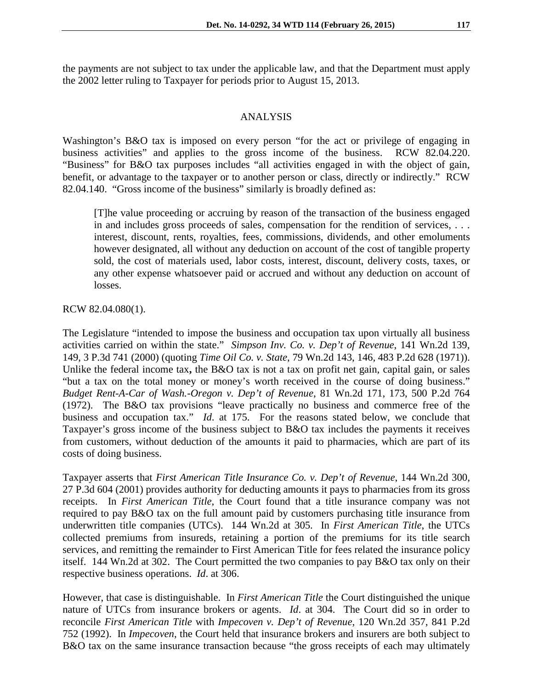the payments are not subject to tax under the applicable law, and that the Department must apply the 2002 letter ruling to Taxpayer for periods prior to August 15, 2013.

#### ANALYSIS

Washington's B&O tax is imposed on every person "for the act or privilege of engaging in business activities" and applies to the gross income of the business. RCW 82.04.220. "Business" for B&O tax purposes includes "all activities engaged in with the object of gain, benefit, or advantage to the taxpayer or to another person or class, directly or indirectly." RCW 82.04.140. "Gross income of the business" similarly is broadly defined as:

[T]he value proceeding or accruing by reason of the transaction of the business engaged in and includes gross proceeds of sales, compensation for the rendition of services, . . . interest, discount, rents, royalties, fees, commissions, dividends, and other emoluments however designated, all without any deduction on account of the cost of tangible property sold, the cost of materials used, labor costs, interest, discount, delivery costs, taxes, or any other expense whatsoever paid or accrued and without any deduction on account of losses.

#### RCW 82.04.080(1).

The Legislature "intended to impose the business and occupation tax upon virtually all business activities carried on within the state." *Simpson Inv. Co. v. Dep't of Revenue*, 141 Wn.2d 139, 149, 3 P.3d 741 (2000) (quoting *Time Oil Co. v. State*, 79 Wn.2d 143, 146, 483 P.2d 628 (1971)). Unlike the federal income tax**,** the B&O tax is not a tax on profit net gain, capital gain, or sales "but a tax on the total money or money's worth received in the course of doing business." *Budget Rent-A-Car of Wash.-Oregon v. Dep't of Revenue*, 81 Wn.2d 171, 173, 500 P.2d 764 (1972). The B&O tax provisions "leave practically no business and commerce free of the business and occupation tax." *Id*. at 175. For the reasons stated below, we conclude that Taxpayer's gross income of the business subject to B&O tax includes the payments it receives from customers, without deduction of the amounts it paid to pharmacies, which are part of its costs of doing business.

Taxpayer asserts that *First American Title Insurance Co. v. Dep't of Revenue*, 144 Wn.2d 300, 27 P.3d 604 (2001) provides authority for deducting amounts it pays to pharmacies from its gross receipts. In *First American Title*, the Court found that a title insurance company was not required to pay B&O tax on the full amount paid by customers purchasing title insurance from underwritten title companies (UTCs). 144 Wn.2d at 305. In *First American Title*, the UTCs collected premiums from insureds, retaining a portion of the premiums for its title search services, and remitting the remainder to First American Title for fees related the insurance policy itself. 144 Wn.2d at 302. The Court permitted the two companies to pay B&O tax only on their respective business operations. *Id*. at 306.

However, that case is distinguishable. In *First American Title* the Court distinguished the unique nature of UTCs from insurance brokers or agents. *Id*. at 304. The Court did so in order to reconcile *First American Title* with *Impecoven v. Dep't of Revenue*, 120 Wn.2d 357, 841 P.2d 752 (1992). In *Impecoven*, the Court held that insurance brokers and insurers are both subject to B&O tax on the same insurance transaction because "the gross receipts of each may ultimately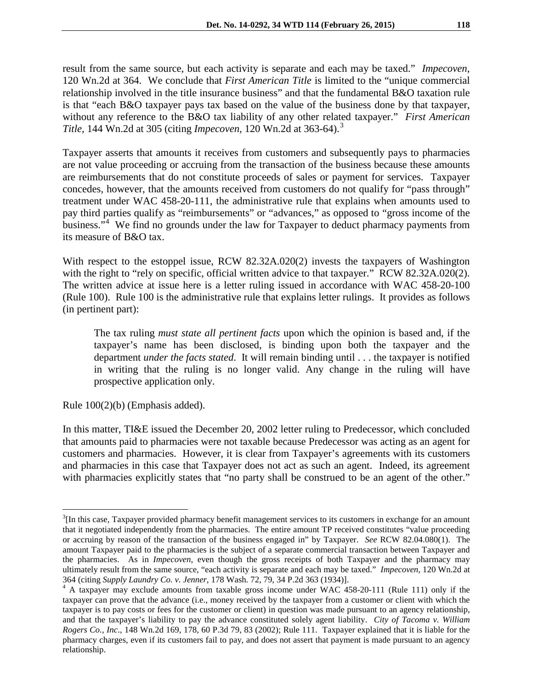result from the same source, but each activity is separate and each may be taxed." *Impecoven*, 120 Wn.2d at 364. We conclude that *First American Title* is limited to the "unique commercial relationship involved in the title insurance business" and that the fundamental B&O taxation rule is that "each B&O taxpayer pays tax based on the value of the business done by that taxpayer, without any reference to the B&O tax liability of any other related taxpayer." *First American Title*, 144 Wn.2d at 305 (citing *Impecoven*, 120 Wn.2d at 363-64).[3](#page-4-0)

Taxpayer asserts that amounts it receives from customers and subsequently pays to pharmacies are not value proceeding or accruing from the transaction of the business because these amounts are reimbursements that do not constitute proceeds of sales or payment for services. Taxpayer concedes, however, that the amounts received from customers do not qualify for "pass through" treatment under WAC 458-20-111, the administrative rule that explains when amounts used to pay third parties qualify as "reimbursements" or "advances," as opposed to "gross income of the business."<sup>[4](#page-4-1)</sup> We find no grounds under the law for Taxpayer to deduct pharmacy payments from its measure of B&O tax.

With respect to the estoppel issue, RCW 82.32A.020(2) invests the taxpayers of Washington with the right to "rely on specific, official written advice to that taxpayer." RCW 82.32A.020(2). The written advice at issue here is a letter ruling issued in accordance with WAC 458-20-100 (Rule 100). Rule 100 is the administrative rule that explains letter rulings. It provides as follows (in pertinent part):

The tax ruling *must state all pertinent facts* upon which the opinion is based and, if the taxpayer's name has been disclosed, is binding upon both the taxpayer and the department *under the facts stated*. It will remain binding until . . . the taxpayer is notified in writing that the ruling is no longer valid. Any change in the ruling will have prospective application only.

Rule 100(2)(b) (Emphasis added).

In this matter, TI&E issued the December 20, 2002 letter ruling to Predecessor, which concluded that amounts paid to pharmacies were not taxable because Predecessor was acting as an agent for customers and pharmacies. However, it is clear from Taxpayer's agreements with its customers and pharmacies in this case that Taxpayer does not act as such an agent. Indeed, its agreement with pharmacies explicitly states that "no party shall be construed to be an agent of the other."

<span id="page-4-0"></span> $3$ [In this case, Taxpayer provided pharmacy benefit management services to its customers in exchange for an amount that it negotiated independently from the pharmacies. The entire amount TP received constitutes "value proceeding or accruing by reason of the transaction of the business engaged in" by Taxpayer. *See* RCW 82.04.080(1). The amount Taxpayer paid to the pharmacies is the subject of a separate commercial transaction between Taxpayer and the pharmacies. As in *Impecoven*, even though the gross receipts of both Taxpayer and the pharmacy may ultimately result from the same source, "each activity is separate and each may be taxed." *Impecoven*, 120 Wn.2d at  $\overline{a}$ 

<span id="page-4-1"></span><sup>364 (</sup>citing *Supply Laundry Co. v. Jenner*, 178 Wash. 72, 79, 34 P.2d 363 (1934)]. <sup>4</sup> A taxpayer may exclude amounts from taxable gross income under WAC 458-20-111 (Rule 111) only if the taxpayer can prove that the advance (i.e., money received by the taxpayer from a customer or client with which the taxpayer is to pay costs or fees for the customer or client) in question was made pursuant to an agency relationship, and that the taxpayer's liability to pay the advance constituted solely agent liability. *City of Tacoma v. William Rogers Co., Inc*., 148 Wn.2d 169, 178, 60 P.3d 79, 83 (2002); Rule 111. Taxpayer explained that it is liable for the pharmacy charges, even if its customers fail to pay, and does not assert that payment is made pursuant to an agency relationship.